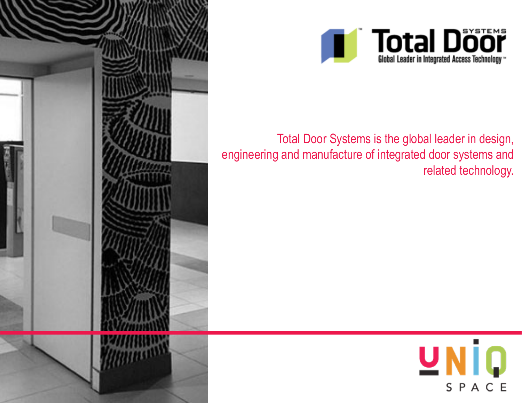



Total Door Systems is the global leader in design, engineering and manufacture of integrated door systems and related technology.

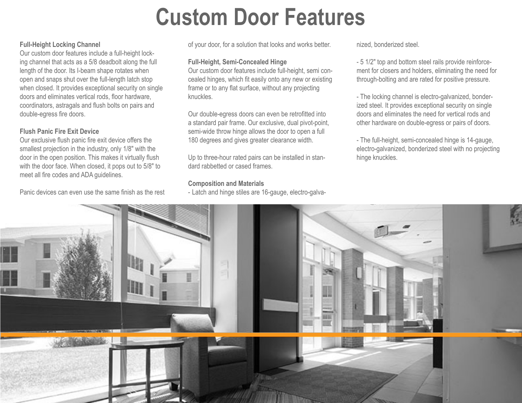## **Custom Door Features**

### **Full-Height Locking Channel**

Our custom door features include a full-height locking channel that acts as a 5/8 deadbolt along the full length of the door. Its I-beam shape rotates when open and snaps shut over the full-length latch stop when closed. It provides exceptional security on single doors and eliminates vertical rods, floor hardware, coordinators, astragals and flush bolts on pairs and double-egress fire doors.

### **Flush Panic Fire Exit Device**

Our exclusive flush panic fire exit device offers the smallest projection in the industry, only 1/8″ with the door in the open position. This makes it virtually flush with the door face. When closed, it pops out to 5/8″ to meet all fire codes and ADA guidelines.

Panic devices can even use the same finish as the rest

of your door, for a solution that looks and works better.

#### **Full-Height, Semi-Concealed Hinge**

Our custom door features include full-height, semi concealed hinges, which fit easily onto any new or existing frame or to any flat surface, without any projecting knuckles.

Our double-egress doors can even be retrofitted into a standard pair frame. Our exclusive, dual pivot-point, semi-wide throw hinge allows the door to open a full 180 degrees and gives greater clearance width.

Up to three-hour rated pairs can be installed in standard rabbetted or cased frames.

### **Composition and Materials**

- Latch and hinge stiles are 16-gauge, electro-galva-

nized, bonderized steel.

- 5 1/2″ top and bottom steel rails provide reinforcement for closers and holders, eliminating the need for through-bolting and are rated for positive pressure.

- The locking channel is electro-galvanized, bonderized steel. It provides exceptional security on single doors and eliminates the need for vertical rods and other hardware on double-egress or pairs of doors.

- The full-height, semi-concealed hinge is 14-gauge, electro-galvanized, bonderized steel with no projecting hinge knuckles.

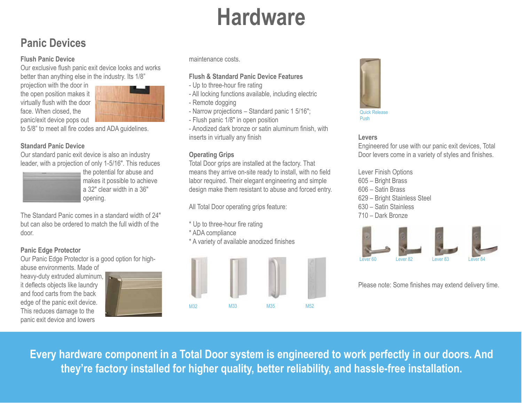# **Hardware**

## **Panic Devices**

### **Flush Panic Device**

Our exclusive flush panic exit device looks and works better than anything else in the industry. Its 1/8"

projection with the door in the open position makes it virtually flush with the door face. When closed, the panic/exit device pops out



to 5/8" to meet all fire codes and ADA guidelines.

### **Standard Panic Device**

Our standard panic exit device is also an industry leader, with a projection of only 1-5/16″. This reduces



the potential for abuse and makes it possible to achieve a 32″ clear width in a 36″ opening.

The Standard Panic comes in a standard width of 24″ but can also be ordered to match the full width of the door.

### **Panic Edge Protector**

Our Panic Edge Protector is a good option for highabuse environments. Made of

heavy-duty extruded aluminum, it deflects objects like laundry and food carts from the back edge of the panic exit device. This reduces damage to the panic exit device and lowers

|  | the property of the control of        |                                   |  |
|--|---------------------------------------|-----------------------------------|--|
|  | _____<br>____<br><b>Service State</b> | --                                |  |
|  |                                       |                                   |  |
|  |                                       |                                   |  |
|  |                                       |                                   |  |
|  |                                       | <b>Contract Contract Contract</b> |  |

maintenance costs.

### **Flush & Standard Panic Device Features**

- Up to three-hour fire rating
- All locking functions available, including electric
- Remote dogging
- Narrow projections Standard panic 1 5/16″;
- Flush panic 1/8″ in open position

- Anodized dark bronze or satin aluminum finish, with inserts in virtually any finish

### **Operating Grips**

Total Door grips are installed at the factory. That means they arrive on-site ready to install, with no field labor required. Their elegant engineering and simple design make them resistant to abuse and forced entry.

All Total Door operating grips feature:

- \* Up to three-hour fire rating
- \* ADA compliance
- \* A variety of available anodized finishes





### **Levers**

Engineered for use with our panic exit devices, Total Door levers come in a variety of styles and finishes.

Lever Finish Options 605 – Bright Brass 606 – Satin Brass 629 – Bright Stainless Steel 630 – Satin Stainless 710 – Dark Bronze



Please note: Some finishes may extend delivery time.

**Every hardware component in a Total Door system is engineered to work perfectly in our doors. And they're factory installed for higher quality, better reliability, and hassle-free installation.**

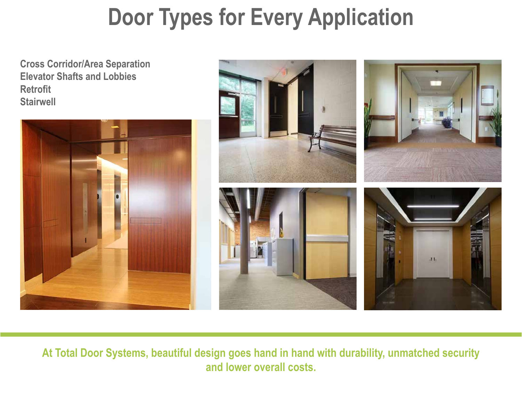# **Door Types for Every Application**

**Cross Corridor/Area Separation Elevator Shafts and Lobbies Retrofit Stairwell**





**At Total Door Systems, beautiful design goes hand in hand with durability, unmatched security and lower overall costs.**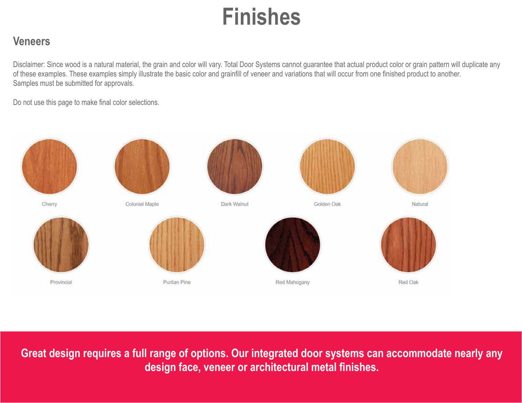# **Finishes**

## **Veneers**

Disclaimer: Since wood is a natural material, the grain and color will vary. Total Door Systems cannot guarantee that actual product color or grain pattern will duplicate any of these examples. These examples simply illustrate the basic color and grainfill of veneer and variations that will occur from one finished product to another. Samples must be submitted for approvals.

Do not use this page to make final color selections.



**Great design requires a full range of options. Our integrated door systems can accommodate nearly any design face, veneer or architectural metal finishes.**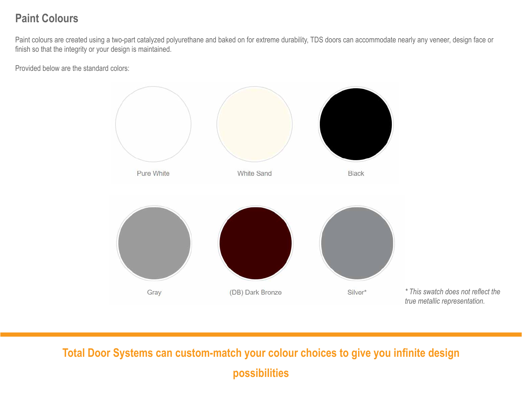## **Paint Colours**

Paint colours are created using a two-part catalyzed polyurethane and baked on for extreme durability, TDS doors can accommodate nearly any veneer, design face or finish so that the integrity or your design is maintained.

Provided below are the standard colors:



**Total Door Systems can custom-match your colour choices to give you infinite design possibilities**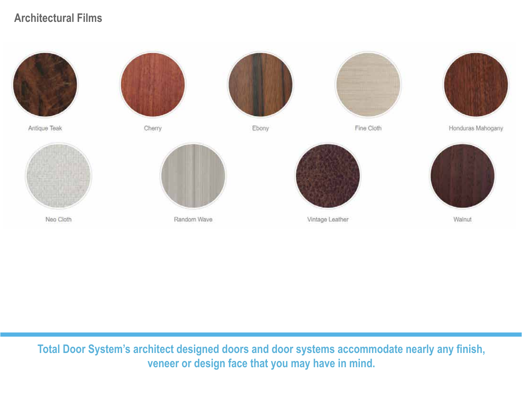## **Architectural Films**



Antique Teak



Neo Cloth



Cherry

Random Wave



Ebony



Fine Cloth



Honduras Mahogany



Vintage Leather

**Total Door System's architect designed doors and door systems accommodate nearly any finish, veneer or design face that you may have in mind.**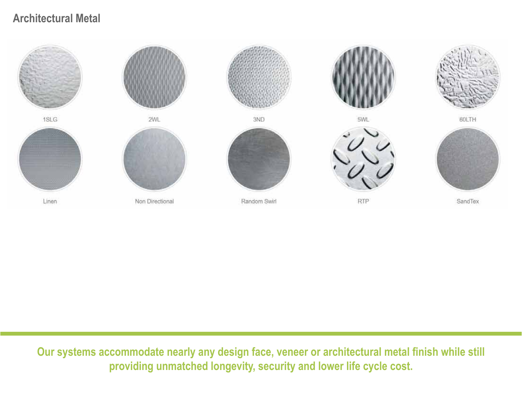## **Architectural Metal**



**Our systems accommodate nearly any design face, veneer or architectural metal finish while still providing unmatched longevity, security and lower life cycle cost.**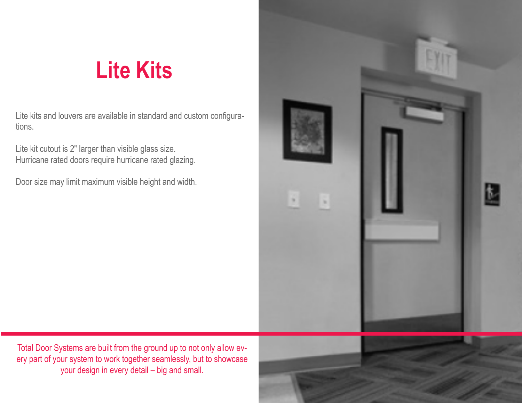# **Lite Kits**

Lite kits and louvers are available in standard and custom configurations.

Lite kit cutout is 2″ larger than visible glass size. Hurricane rated doors require hurricane rated glazing.

Door size may limit maximum visible height and width.



Total Door Systems are built from the ground up to not only allow every part of your system to work together seamlessly, but to showcase your design in every detail – big and small.

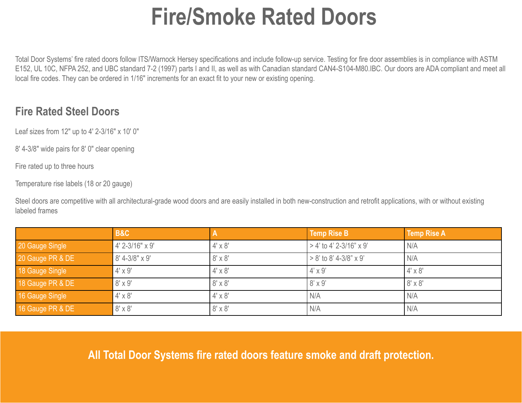# **Fire/Smoke Rated Doors**

Total Door Systems' fire rated doors follow ITS/Warnock Hersey specifications and include follow-up service. Testing for fire door assemblies is in compliance with ASTM E152, UL 10C, NFPA 252, and UBC standard 7-2 (1997) parts I and II, as well as with Canadian standard CAN4-S104-M80.IBC. Our doors are ADA compliant and meet all local fire codes. They can be ordered in 1/16″ increments for an exact fit to your new or existing opening.

## **Fire Rated Steel Doors**

Leaf sizes from 12″ up to 4′ 2-3/16″ x 10′ 0″

8′ 4-3/8″ wide pairs for 8′ 0″ clear opening

Fire rated up to three hours

Temperature rise labels (18 or 20 gauge)

Steel doors are competitive with all architectural-grade wood doors and are easily installed in both new-construction and retrofit applications, with or without existing labeled frames

|                  | <b>B&amp;C</b>  |                | <b>Temp Rise B</b>        | <b>Temp Rise A</b> |
|------------------|-----------------|----------------|---------------------------|--------------------|
| 20 Gauge Single  | 4' 2-3/16" x 9' | $4' \times 8'$ | $>$ 4' to 4' 2-3/16" x 9' | N/A                |
| 20 Gauge PR & DE | 8' 4-3/8" x 9'  | $8' \times 8'$ | $> 8'$ to 8' 4-3/8" x 9'  | N/A                |
| 18 Gauge Single  | $4' \times 9'$  | $4' \times 8'$ | $4' \times 9'$            | $4' \times 8'$     |
| 18 Gauge PR & DE | $8' \times 9'$  | $8' \times 8'$ | $8' \times 9'$            | $8' \times 8'$     |
| 16 Gauge Single  | $4' \times 8'$  | $4' \times 8'$ | N/A                       | I N/A              |
| 16 Gauge PR & DE | $8' \times 8'$  | $8' \times 8'$ | N/A                       | N/A                |

### **All Total Door Systems fire rated doors feature smoke and draft protection.**